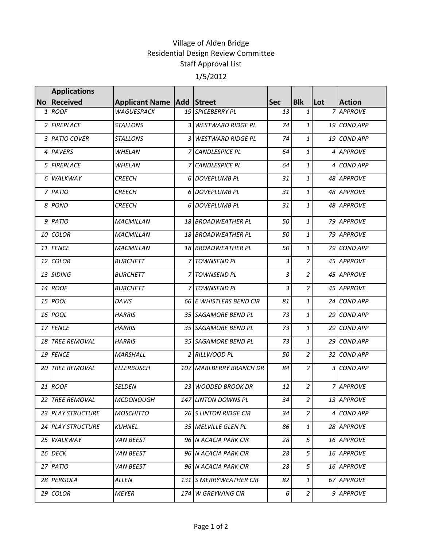## Village of Alden Bridge Residential Design Review Committee Staff Approval List 1/5/2012

|      | <b>Applications</b>    |                                      |                         |            |                |     |               |
|------|------------------------|--------------------------------------|-------------------------|------------|----------------|-----|---------------|
|      | No Received            | <b>Applicant Name   Add   Street</b> |                         | <b>Sec</b> | Blk            | Lot | <b>Action</b> |
|      | 1 ROOF                 | <b>WAGUESPACK</b>                    | 19 SPICEBERRY PL        | 13         | $\mathbf{1}$   |     | 7 APPROVE     |
|      | 2 FIREPLACE            | <b>STALLONS</b>                      | 3 WESTWARD RIDGE PL     | 74         | $\mathbf{1}$   |     | 19 COND APP   |
|      | 3 PATIO COVER          | <b>STALLONS</b>                      | 3 WESTWARD RIDGE PL     | 74         | $\mathbf{1}$   |     | 19 COND APP   |
|      | 4 PAVERS               | WHELAN                               | 7 CANDLESPICE PL        | 64         | $\mathbf{1}$   |     | 4 APPROVE     |
|      | 5 FIREPLACE            | <b>WHELAN</b>                        | 7 CANDLESPICE PL        | 64         | $\mathbf{1}$   |     | 4 COND APP    |
|      | 6 WALKWAY              | <b>CREECH</b>                        | 6 DOVEPLUMB PL          | 31         | $\mathbf{1}$   |     | 48 APPROVE    |
|      | 7 PATIO                | <b>CREECH</b>                        | 6 DOVEPLUMB PL          | 31         | $\mathbf{1}$   |     | 48 APPROVE    |
|      | 8 POND                 | <b>CREECH</b>                        | 6 DOVEPLUMB PL          | 31         | $\mathbf{1}$   |     | 48 APPROVE    |
|      | 9 PATIO                | <b>MACMILLAN</b>                     | 18 BROADWEATHER PL      | 50         | $\mathbf{1}$   |     | 79 APPROVE    |
|      | 10 COLOR               | MACMILLAN                            | 18 BROADWEATHER PL      | 50         | $\mathbf{1}$   |     | 79 APPROVE    |
|      | 11 FENCE               | <b>MACMILLAN</b>                     | 18 BROADWEATHER PL      | 50         | $\mathbf{1}$   |     | 79 COND APP   |
|      | 12 COLOR               | <b>BURCHETT</b>                      | 7 TOWNSEND PL           | 3          | $\overline{a}$ |     | 45 APPROVE    |
|      | 13 SIDING              | <b>BURCHETT</b>                      | 7 TOWNSEND PL           | 3          | $\overline{a}$ |     | 45 APPROVE    |
|      | 14 ROOF                | <b>BURCHETT</b>                      | 7 TOWNSEND PL           | 3          | $\overline{a}$ |     | 45 APPROVE    |
|      | 15 POOL                | <b>DAVIS</b>                         | 66 E WHISTLERS BEND CIR | 81         | $\mathbf{1}$   |     | 24 COND APP   |
|      | 16 POOL                | <b>HARRIS</b>                        | 35 SAGAMORE BEND PL     | 73         | $\mathbf{1}$   |     | 29 COND APP   |
|      | 17 FENCE               | <b>HARRIS</b>                        | 35 SAGAMORE BEND PL     | 73         | $\mathbf{1}$   |     | 29 COND APP   |
|      | 18 TREE REMOVAL        | <b>HARRIS</b>                        | 35 SAGAMORE BEND PL     | 73         | $\mathbf{1}$   |     | 29 COND APP   |
|      | 19 FENCE               | <b>MARSHALL</b>                      | 2 RILLWOOD PL           | 50         | $\overline{a}$ |     | 32 COND APP   |
| 20 I | <b>TREE REMOVAL</b>    | <b>ELLERBUSCH</b>                    | 107 MARLBERRY BRANCH DR | 84         | $\overline{a}$ |     | 3 COND APP    |
|      | 21 ROOF                | <b>SELDEN</b>                        | 23 WOODED BROOK DR      | 12         | $\overline{a}$ |     | 7 APPROVE     |
|      | <b>22 TREE REMOVAL</b> | <b>MCDONOUGH</b>                     | 147 LINTON DOWNS PL     | 34         | $\overline{2}$ |     | 13 APPROVE    |
|      | 23 PLAY STRUCTURE      | <b>MOSCHITTO</b>                     | 26 S LINTON RIDGE CIR   | 34         | $\overline{a}$ |     | 4 COND APP    |
|      | 24 PLAY STRUCTURE      | <b>KUHNEL</b>                        | 35 MELVILLE GLEN PL     | 86         | $\mathbf{1}$   |     | 28 APPROVE    |
|      | 25 WALKWAY             | <b>VAN BEEST</b>                     | 96 N ACACIA PARK CIR    | 28         | 5              |     | 16 APPROVE    |
|      | 26 DECK                | <b>VAN BEEST</b>                     | 96 N ACACIA PARK CIR    | 28         | 5              |     | 16 APPROVE    |
|      | 27 PATIO               | <b>VAN BEEST</b>                     | 96 N ACACIA PARK CIR    | 28         | 5              |     | 16 APPROVE    |
|      | 28 PERGOLA             | ALLEN                                | 131 S MERRYWEATHER CIR  | 82         | $\mathbf{1}$   |     | 67 APPROVE    |
| 29 I | <b>COLOR</b>           | <b>MEYER</b>                         | 174 W GREYWING CIR      | $6 \mid$   | $\overline{a}$ |     | 9 APPROVE     |